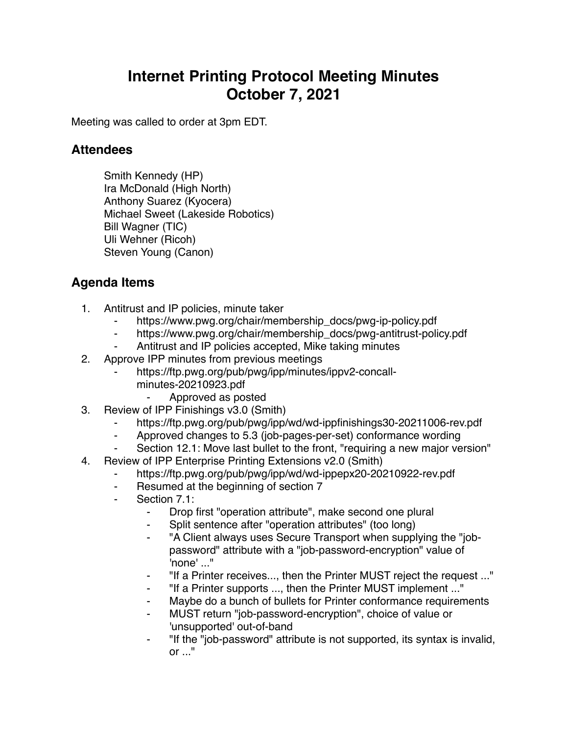## **Internet Printing Protocol Meeting Minutes October 7, 2021**

Meeting was called to order at 3pm EDT.

## **Attendees**

Smith Kennedy (HP) Ira McDonald (High North) Anthony Suarez (Kyocera) Michael Sweet (Lakeside Robotics) Bill Wagner (TIC) Uli Wehner (Ricoh) Steven Young (Canon)

## **Agenda Items**

- 1. Antitrust and IP policies, minute taker
	- https://www.pwg.org/chair/membership\_docs/pwg-ip-policy.pdf
	- https://www.pwg.org/chair/membership\_docs/pwg-antitrust-policy.pdf
	- Antitrust and IP policies accepted, Mike taking minutes
- 2. Approve IPP minutes from previous meetings
	- https://ftp.pwg.org/pub/pwg/ipp/minutes/ippv2-concallminutes-20210923.pdf
		- ⁃ Approved as posted
- 3. Review of IPP Finishings v3.0 (Smith)
	- https://ftp.pwg.org/pub/pwg/ipp/wd/wd-ippfinishings30-20211006-rev.pdf
	- ⁃ Approved changes to 5.3 (job-pages-per-set) conformance wording
	- Section 12.1: Move last bullet to the front, "requiring a new major version"
- 4. Review of IPP Enterprise Printing Extensions v2.0 (Smith)
	- ⁃ https://ftp.pwg.org/pub/pwg/ipp/wd/wd-ippepx20-20210922-rev.pdf
	- ⁃ Resumed at the beginning of section 7
	- Section 7.1:
		- ⁃ Drop first "operation attribute", make second one plural
		- Split sentence after "operation attributes" (too long)
		- "A Client always uses Secure Transport when supplying the "jobpassword" attribute with a "job-password-encryption" value of 'none' ..."
		- ⁃ "If a Printer receives..., then the Printer MUST reject the request ..."
		- ⁃ "If a Printer supports ..., then the Printer MUST implement ..."
		- ⁃ Maybe do a bunch of bullets for Printer conformance requirements
		- MUST return "job-password-encryption", choice of value or 'unsupported' out-of-band
		- ⁃ "If the "job-password" attribute is not supported, its syntax is invalid,  $or \n...$ "